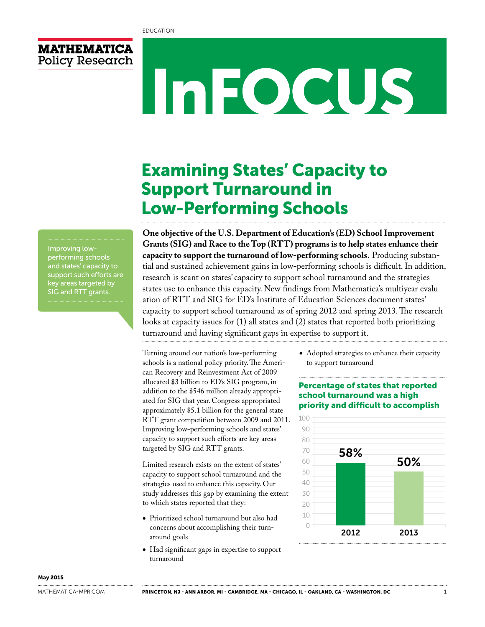

## InFOCUS

## Examining States' Capacity to Support Turnaround in Low-Performing Schools

Improving lowperforming schools and states' capacity to support such efforts are key areas targeted by SIG and RTT grants.

**One objective of the U.S. Department of Education's (ED) School Improvement Grants (SIG) and Race to the Top (RTT) programs is to help states enhance their capacity to support the turnaround of low-performing schools.** Producing substantial and sustained achievement gains in low-performing schools is difficult. In addition, research is scant on states' capacity to support school turnaround and the strategies states use to enhance this capacity. New findings from Mathematica's multiyear evaluation of RTT and SIG for ED's Institute of Education Sciences document states' capacity to support school turnaround as of spring 2012 and spring 2013. The research looks at capacity issues for (1) all states and (2) states that reported both prioritizing turnaround and having significant gaps in expertise to support it.

Turning around our nation's low-performing schools is a national policy priority. The American Recovery and Reinvestment Act of 2009 allocated \$3 billion to ED's SIG program, in addition to the \$546 million already appropriated for SIG that year. Congress appropriated approximately \$5.1 billion for the general state RTT grant competition between 2009 and 2011. Improving low-performing schools and states' capacity to support such efforts are key areas targeted by SIG and RTT grants.

Limited research exists on the extent of states' capacity to support school turnaround and the strategies used to enhance this capacity. Our study addresses this gap by examining the extent to which states reported that they:

- Prioritized school turnaround but also had concerns about accomplishing their turnaround goals
- Had significant gaps in expertise to support turnaround

• Adopted strategies to enhance their capacity to support turnaround